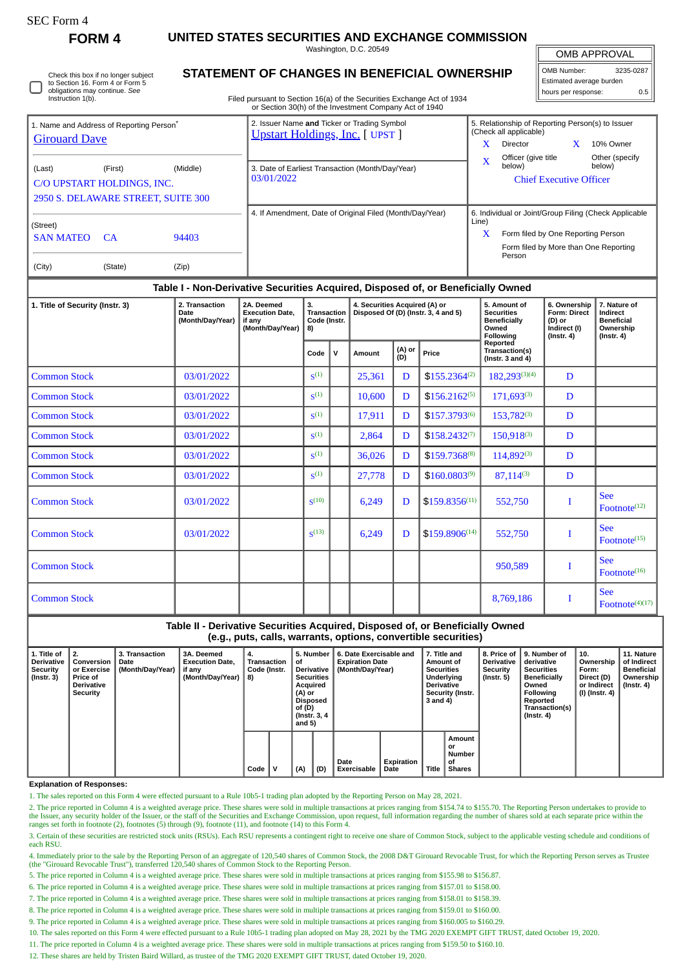| SEC Form- |
|-----------|
|-----------|

**FORM 4 UNITED STATES SECURITIES AND EXCHANGE COMMISSION**

Washington, D.C. 20549

OMB APPROVAL

| OMB Number:              | 3235-0287 |  |  |  |  |  |  |  |  |
|--------------------------|-----------|--|--|--|--|--|--|--|--|
| Estimated average burden |           |  |  |  |  |  |  |  |  |
| hours per response:      | 0.5       |  |  |  |  |  |  |  |  |

| ◡ | Check this box if no longer subject<br>to Section 16. Form 4 or Form 5<br>obligations may continue. See<br>Instruction 1(b). |
|---|------------------------------------------------------------------------------------------------------------------------------|
|---|------------------------------------------------------------------------------------------------------------------------------|

## **STATEMENT OF CHANGES IN BENEFICIAL OWNERSHIP**

Filed pursuant to Section 16(a) of the Securities Exchange Act of 1934 or Section 30(h) of the Investment Company Act of 1940

| 1. Name and Address of Reporting Person <sup>®</sup> |         |          | 2. Issuer Name and Ticker or Trading Symbol<br><b>Upstart Holdings, Inc.</b> [ UPST ] | 5. Relationship of Reporting Person(s) to Issuer<br>(Check all applicable) |                                                       |  |                          |  |  |
|------------------------------------------------------|---------|----------|---------------------------------------------------------------------------------------|----------------------------------------------------------------------------|-------------------------------------------------------|--|--------------------------|--|--|
| <b>Girouard Dave</b>                                 |         |          |                                                                                       | x                                                                          | Director                                              |  | 10% Owner                |  |  |
| (Last)                                               | (First) | (Middle) | 3. Date of Earliest Transaction (Month/Day/Year)                                      | X                                                                          | Officer (give title<br>below)                         |  | Other (specify<br>below) |  |  |
| C/O UPSTART HOLDINGS, INC.                           |         |          | 03/01/2022                                                                            |                                                                            | <b>Chief Executive Officer</b>                        |  |                          |  |  |
| 2950 S. DELAWARE STREET, SUITE 300                   |         |          |                                                                                       |                                                                            |                                                       |  |                          |  |  |
| (Street)                                             |         |          | 4. If Amendment, Date of Original Filed (Month/Day/Year)                              | Line)                                                                      | 6. Individual or Joint/Group Filing (Check Applicable |  |                          |  |  |
| <b>SAN MATEO</b>                                     | - CA    | 94403    |                                                                                       | x                                                                          | Form filed by One Reporting Person                    |  |                          |  |  |
|                                                      |         |          |                                                                                       |                                                                            | Form filed by More than One Reporting<br>Person       |  |                          |  |  |
| (City)                                               | (State) | (Zip)    |                                                                                       |                                                                            |                                                       |  |                          |  |  |

### **Table I - Non-Derivative Securities Acquired, Disposed of, or Beneficially Owned**

| 1. Title of Security (Instr. 3) | 2. Transaction<br>Date<br>(Month/Day/Year) | 2A. Deemed<br><b>Execution Date,</b><br>if any<br>(Month/Day/Year) | 3.<br><b>Transaction</b><br>Code (Instr.<br>8) |   | 4. Securities Acquired (A) or |               | Disposed Of (D) (Instr. 3, 4 and 5) | 5. Amount of<br><b>Securities</b><br><b>Beneficially</b><br>Owned<br>Following | 6. Ownership<br>Form: Direct<br>(D) or<br>Indirect (I)<br>$($ Instr. 4 $)$ | 7. Nature of<br><b>Indirect</b><br><b>Beneficial</b><br>Ownership<br>$($ Instr. 4 $)$ |
|---------------------------------|--------------------------------------------|--------------------------------------------------------------------|------------------------------------------------|---|-------------------------------|---------------|-------------------------------------|--------------------------------------------------------------------------------|----------------------------------------------------------------------------|---------------------------------------------------------------------------------------|
|                                 |                                            |                                                                    | Code                                           | v | Amount                        | (A) or<br>(D) | Price                               | Reported<br>Transaction(s)<br>(Instr. $3$ and $4$ )                            |                                                                            |                                                                                       |
| <b>Common Stock</b>             | 03/01/2022                                 |                                                                    | S <sup>(1)</sup>                               |   | 25,361                        | D             | $$155.2364^{(2)}$                   | $182.293^{(3)(4)}$                                                             | D                                                                          |                                                                                       |
| <b>Common Stock</b>             | 03/01/2022                                 |                                                                    | S <sup>(1)</sup>                               |   | 10,600                        | D             | $$156.2162^{(5)}$                   | $171,693^{(3)}$                                                                | D                                                                          |                                                                                       |
| <b>Common Stock</b>             | 03/01/2022                                 |                                                                    | S <sup>(1)</sup>                               |   | 17,911                        | D             | $$157.3793^{(6)}$                   | 153,782(3)                                                                     | D                                                                          |                                                                                       |
| <b>Common Stock</b>             | 03/01/2022                                 |                                                                    | S <sup>(1)</sup>                               |   | 2,864                         | D             | $$158.2432^{(7)}$                   | 150,918(3)                                                                     | D                                                                          |                                                                                       |
| <b>Common Stock</b>             | 03/01/2022                                 |                                                                    | $S^{(1)}$                                      |   | 36,026                        | D             | \$159.7368(8)                       | $114,892^{(3)}$                                                                | D                                                                          |                                                                                       |
| <b>Common Stock</b>             | 03/01/2022                                 |                                                                    | S <sup>(1)</sup>                               |   | 27,778                        | D             | $$160.0803^{(9)}$                   | $87,114^{(3)}$                                                                 | D                                                                          |                                                                                       |
| <b>Common Stock</b>             | 03/01/2022                                 |                                                                    | $\mathbf{S}^{(10)}$                            |   | 6,249                         | D             | $$159.8356^{(11)}$                  | 552,750                                                                        | I                                                                          | <b>See</b><br>Footnote <sup>(12)</sup>                                                |
| <b>Common Stock</b>             | 03/01/2022                                 |                                                                    | $S^{(13)}$                                     |   | 6,249                         | D             | $$159.8906^{(14)}$                  | 552,750                                                                        | I                                                                          | <b>See</b><br>Footnote <sup>(15)</sup>                                                |
| <b>Common Stock</b>             |                                            |                                                                    |                                                |   |                               |               |                                     | 950,589                                                                        | I                                                                          | <b>See</b><br>Footnote <sup>(16)</sup>                                                |
| <b>Common Stock</b>             |                                            |                                                                    |                                                |   |                               |               |                                     | 8,769,186                                                                      | I                                                                          | <b>See</b><br>Footnote $(4)(17)$                                                      |

#### **Table II - Derivative Securities Acquired, Disposed of, or Beneficially Owned (e.g., puts, calls, warrants, options, convertible securities)**

| 1. Title of<br>Derivative<br>Security<br>l (Instr. 3) | 2.<br>Conversion<br>or Exercise<br>Price of<br>Derivative<br>Security | 3. Transaction<br>Date<br>(Month/Day/Year) | 3A. Deemed<br><b>Execution Date,</b><br>if any<br>(Month/Day/Year) | 4.<br>Transaction<br>Code (Instr.<br>8) |  | 5. Number<br>оt<br><b>Derivative</b><br><b>Securities</b><br>Acquired<br>(A) or<br>Disposed<br>of (D)<br>(Instr. 3, 4)<br>and 5) |     | 6. Date Exercisable and<br><b>Expiration Date</b><br>(Month/Day/Year) | 7. Title and<br>Amount of<br><b>Securities</b><br>Underlying<br><b>Derivative</b><br><b>Security (Instr.</b><br>3 and 4) |       | 8. Price of<br><b>Derivative</b><br>Security<br>(Instr. 5) | 9. Number of<br>derivative<br><b>Securities</b><br><b>Beneficially</b><br>Owned<br>Following<br>Reported<br>Transaction(s)<br>$($ Instr. 4 $)$ | 10.<br>Ownership<br>Form:<br>Direct (D)<br>or Indirect<br>(I) (Instr. 4) | 11. Nature<br>of Indirect<br><b>Beneficial</b><br>Ownership<br>(Instr. 4) |  |
|-------------------------------------------------------|-----------------------------------------------------------------------|--------------------------------------------|--------------------------------------------------------------------|-----------------------------------------|--|----------------------------------------------------------------------------------------------------------------------------------|-----|-----------------------------------------------------------------------|--------------------------------------------------------------------------------------------------------------------------|-------|------------------------------------------------------------|------------------------------------------------------------------------------------------------------------------------------------------------|--------------------------------------------------------------------------|---------------------------------------------------------------------------|--|
|                                                       |                                                                       |                                            |                                                                    | Code                                    |  | (A)                                                                                                                              | (D) | Date<br>Exercisable                                                   | Expiration<br>Date                                                                                                       | Title | Amount<br>or<br>Number<br>οf<br>Shares                     |                                                                                                                                                |                                                                          |                                                                           |  |

**Explanation of Responses:**

1. The sales reported on this Form 4 were effected pursuant to a Rule 10b5-1 trading plan adopted by the Reporting Person on May 28, 2021.

2. The price reported in Column 4 is a weighted average price. These shares were sold in multiple transactions at prices ranging from \$154.74 to \$155.70. The Reporting Person undertakes to provide to the Issuer, any security holder of the Issuer, or the staff of the Securities and Exchange Commission, upon request, full information regarding the number of shares sold at each separate price within the ranges set forth in footnote (2), footnotes (5) through (9), footnote (11), and footnote (14) to this Form 4.

3. Certain of these securities are restricted stock units (RSUs). Each RSU represents a contingent right to receive one share of Common Stock, subject to the applicable vesting schedule and conditions of each RSU.

4. Immediately prior to the sale by the Reporting Person of an aggregate of 120,540 shares of Common Stock, the 2008 D&T Girouard Revocable Trust, for which the Reporting Person serves as Trustee (the "Girouard Revocable Trust"), transferred 120,540 shares of Common Stock to the Reporting Person.

5. The price reported in Column 4 is a weighted average price. These shares were sold in multiple transactions at prices ranging from \$155.98 to \$156.87.

6. The price reported in Column 4 is a weighted average price. These shares were sold in multiple transactions at prices ranging from \$157.01 to \$158.00.

7. The price reported in Column 4 is a weighted average price. These shares were sold in multiple transactions at prices ranging from \$158.01 to \$158.39.

8. The price reported in Column 4 is a weighted average price. These shares were sold in multiple transactions at prices ranging from \$159.01 to \$160.00.

9. The price reported in Column 4 is a weighted average price. These shares were sold in multiple transactions at prices ranging from \$160.005 to \$160.29.

10. The sales reported on this Form 4 were effected pursuant to a Rule 10b5-1 trading plan adopted on May 28, 2021 by the TMG 2020 EXEMPT GIFT TRUST, dated October 19, 2020.

11. The price reported in Column 4 is a weighted average price. These shares were sold in multiple transactions at prices ranging from \$159.50 to \$160.10.

12. These shares are held by Tristen Baird Willard, as trustee of the TMG 2020 EXEMPT GIFT TRUST, dated October 19, 2020.